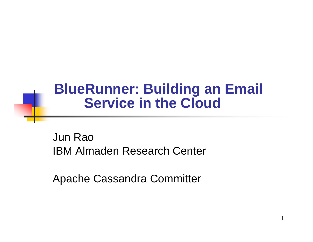# **BlueRunner: Building an Email Service in the Cloud**

Jun RaoIBM Almaden Research Center

Apache Cassandra Committer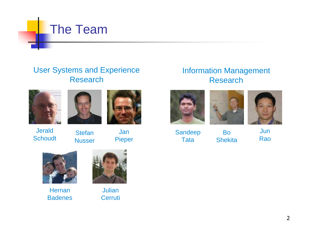

#### User Systems and ExperienceResearch



Jerald

Schoudt





**Stefan** Nusser



JanPieper

#### Information ManagementResearch





SandeepTata

BoShekita



JunRao



**Hernan** Badenes



JulianCerruti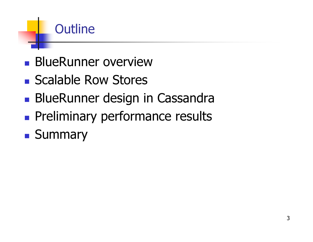# Outline

- **BlueRunner overview**
- Scalable Row Stores
- **BlueRunner design in Cassandra**
- **Preliminary performance results**
- **Summary**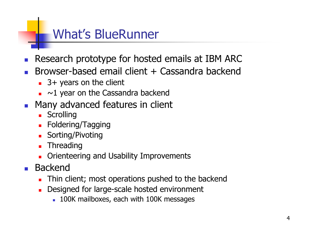# **What's BlueRunner**

- Research prototype for hosted emails at IBM ARC
- Browser-based email client + Cassandra backend
	- $\blacksquare$  3+ years on the client
	- $\blacksquare$  ~1 year on the Cassandra backend
- Many advanced features in client
	- **Scrolling**
	- Foldering/Tagging
	- **Sorting/Pivoting**
	- Threading
	- Orienteering and Usability Improvements
- **Backend** 
	- Thin client; most operations pushed to the backend
	- Designed for large-scale hosted environment
		- 100K mailboxes, each with 100K messages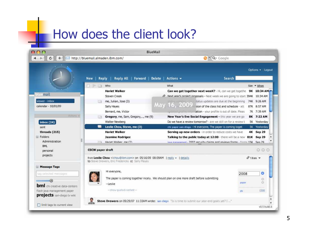# How does the client look?

| 800                                                                                        | <b>BlueMail</b>                                                                                                                               |                                                                                                                                                                                                                   |                                              |  |
|--------------------------------------------------------------------------------------------|-----------------------------------------------------------------------------------------------------------------------------------------------|-------------------------------------------------------------------------------------------------------------------------------------------------------------------------------------------------------------------|----------------------------------------------|--|
| ¢<br>$+$                                                                                   | http://bluemail.almaden.ibm.com/                                                                                                              |                                                                                                                                                                                                                   | $Q - Q - Google$                             |  |
|                                                                                            | <b>Reply All</b><br><b>Delete</b><br>Reply<br>Forward  <br><b>New</b>                                                                         | Actions $\sim$                                                                                                                                                                                                    | Options $\mathbf{v}$ Logout<br><b>Search</b> |  |
|                                                                                            | $\overline{\Gamma}$ - $\overline{\Gamma}$<br>Who<br>FI.<br>œ                                                                                  | What                                                                                                                                                                                                              | $Size - When$                                |  |
| bluemail                                                                                   | <b>Hariet Walker</b><br><b>Steven Creek</b>                                                                                                   | Can we get together next weeK? - Hi, can we get togethe<br>Mevilvear's project proposals - Next week we are going to start 394K 10:34 AM                                                                          | 9K 10:34 AM                                  |  |
| viewer - inbox<br>calendar - 10/01/09                                                      | me, Julian, Jose (3)<br>[2,1]<br>Sally Hayes                                                                                                  | tatus updates are due at the beginning<br>May 16, 2009<br>sion of the class list and schedule - att.                                                                                                              | 74K 9:26 AM<br>87K 8:57 AM                   |  |
| Actions =<br>inbox(24)                                                                     | Bernard, me, Victor<br>Gregory, me, Sam, Gregory,, me (9)<br>$F = 1$<br>Walter Newberg                                                        | ation - your profile is out of date. Pleas<br>svatea profile inferr<br>New Year's Eve Social Engagement - this year we are go<br>Do we have a review tomorrow? - are we still on for a review t                   | 7K 7:39 AM<br>8K 7:22 AM<br>5K Yesterday     |  |
| sent                                                                                       | 麔<br>Leslie Chou, Steve, me (3)                                                                                                               | chi paper san-diego - Hi everyone, The paper is coming toget                                                                                                                                                      | 5K Yesterday                                 |  |
| threads (215)<br>$\Box$ Folders<br>Administration                                          | <b>Hariet Walker</b><br><b>Jasmine Rodrigez</b><br>Hariet Walker me (2)<br>$-1$                                                               | Serving up new orders - in order to reduce costs we have<br>Talking to the public today at 12:00 - there will be a new 81K Sep 29<br>iava management - 2007 security claims and reviews forms - forms 15K Sep 29. | 4K Sep 29                                    |  |
| <b>BML</b><br>personal                                                                     | 000<br><b>CSCW</b> paper draft                                                                                                                |                                                                                                                                                                                                                   |                                              |  |
| projects                                                                                   | from Leslie Chou <ichou@ibm.com> on 05/16/09 08:09AM   reply +   details<br/>to Steve Drewers, Eric Fredericks cc Sally Mayes</ichou@ibm.com> |                                                                                                                                                                                                                   | $@$ 1 item $\blacktriangleright$             |  |
| Message Tags                                                                               | Hi everyone,                                                                                                                                  |                                                                                                                                                                                                                   | o<br>2008                                    |  |
| tag selected messages                                                                      | --Leslie                                                                                                                                      | The paper is coming together nicely. We should plan on one more draft before submitting                                                                                                                           | o<br>G<br>paper                              |  |
| bml chi creative data-centers<br>flash java management paper<br>projects san-diego tv wiki | -show quoted content-                                                                                                                         |                                                                                                                                                                                                                   | close<br>chi                                 |  |
|                                                                                            | Ŗ                                                                                                                                             | Steve Drewers on 09/29/07 11:33AM wrote: san-diego "Is is time to submit our year-end goals yet? I "                                                                                                              |                                              |  |
| limit tags to current view                                                                 |                                                                                                                                               |                                                                                                                                                                                                                   | v0.5 build.6                                 |  |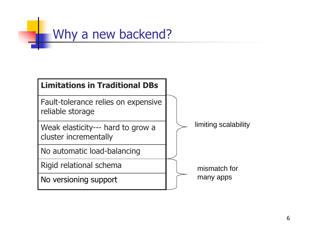

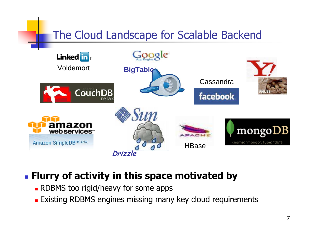## The Cloud Landscape for Scalable Backend



### **Example 1 Figure 1 Figure 1 Figure 1 Figure 1 Figure 1 Figure 1 Figure 1 Figure 1 Figure 1 Figure 1 Figure 1 Figure 1 Figure 1 Figure 1 Figure 1 Figure 1 Figure 1 Figure 1 Figure 1 Figure 1 Figure 1 Figure 1 Figure 1 Figu**

- . RDBMS too rigid/heavy for some apps
- **Existing RDBMS engines missing many key cloud requirements**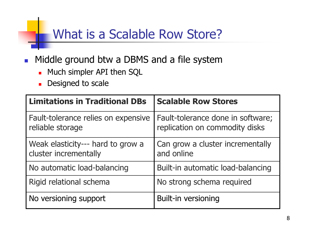# What is a Scalable Row Store?

- Middle ground btw a DBMS and a file system  $\mathcal{L}_{\mathcal{A}}$ 
	- Much simpler API then SQL
	- Designed to scale

| <b>Limitations in Traditional DBs</b>                      | <b>Scalable Row Stores</b>                                          |  |
|------------------------------------------------------------|---------------------------------------------------------------------|--|
| Fault-tolerance relies on expensive<br>reliable storage    | Fault-tolerance done in software;<br>replication on commodity disks |  |
| Weak elasticity--- hard to grow a<br>cluster incrementally | Can grow a cluster incrementally<br>and online                      |  |
| No automatic load-balancing                                | Built-in automatic load-balancing                                   |  |
| Rigid relational schema                                    | No strong schema required                                           |  |
| No versioning support                                      | <b>Built-in versioning</b>                                          |  |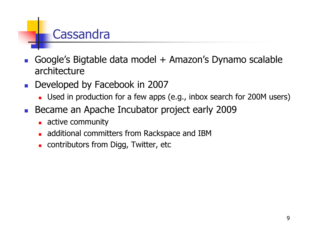# Cassandra

- Google's Bigtable data model + Amazon's Dynamo scalable  $\mathcal{C}^{\mathcal{A}}$ architecture
- Developed by Facebook in 2007  $\mathcal{L}^{\mathcal{A}}$ 
	- Used in production for a few apps (e.g., inbox search for 200M users)
- Became an Apache Incubator project early 2009  $\mathcal{L}_{\mathcal{A}}$ 
	- active community
	- additional committers from Rackspace and IBM
	- Contributors from Digg, Twitter, etc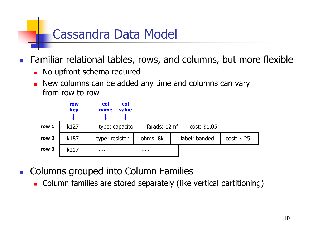# **Cassandra Data Model**

Familiar relational tables, rows, and columns, but more flexible  $\mathcal{L}_{\mathcal{A}}$ 

- No upfront schema required
- New columns can be added any time and columns can vary from row to row



- Columns grouped into Column Families
	- Column families are stored separately (like vertical partitioning)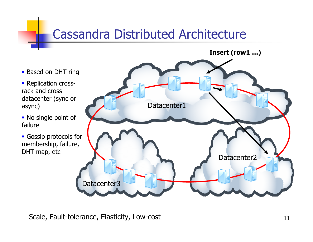# **Cassandra Distributed Architecture**

Insert (row1 ...)

• Based on DHT ring

- Replication crossrack and crossdatacenter (sync or async)

- No single point of failure
- **Gossip protocols for** membership, failure, DHT map, etc



Scale, Fault-tolerance, Elasticity, Low-cost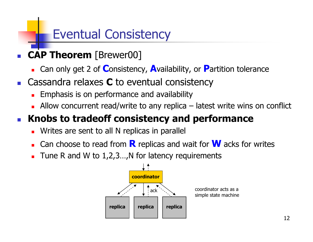# **Eventual Consistency**

- CAP Theorem [Brewer00]
	- Can only get 2 of Consistency, Availability, or Partition tolerance
- **Cassandra relaxes**  $C$  **to eventual consistency** 
	- **Emphasis is on performance and availability**
	- **Allow** concurrent read/write to any replica  $-$  latest write wins on conflict

#### Knobs to tradeoff consistency and performance  $\mathcal{L}_{\mathcal{A}}$

- Writes are sent to all N replicas in parallel  $\blacksquare$
- Can choose to read from  $\bf{R}$  replicas and wait for  $\bf{W}$  acks for writes  $\blacksquare$
- Tune R and W to  $1,2,3...$ , N for latency requirements  $\blacksquare$

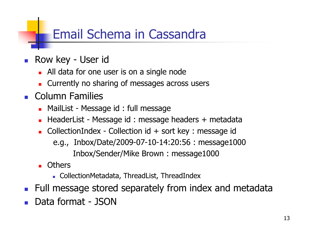# **Email Schema in Cassandra**

- Row key User id
	- All data for one user is on a single node
	- Currently no sharing of messages across users
- Column Families
	- MailList Message id: full message
	- HeaderList Message id: message headers + metadata  $\blacksquare$
	- CollectionIndex Collection id + sort key : message id  $\blacksquare$ e.g., Inbox/Date/2009-07-10-14:20:56 : message1000 Inbox/Sender/Mike Brown: message1000
	- **Others** 
		- CollectionMetadata, ThreadList, ThreadIndex
- Full message stored separately from index and metadata
- Data format JSON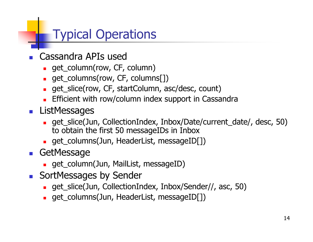# **Typical Operations**

- **Cassandra APIs used** 
	- get\_column(row, CF, column)
	- get\_columns(row, CF, columns[])
	- get\_slice(row, CF, startColumn, asc/desc, count)
	- Efficient with row/column index support in Cassandra
- **ListMessages** 
	- get\_slice(Jun, CollectionIndex, Inbox/Date/current\_date/, desc, 50) to obtain the first 50 messageIDs in Inbox
	- get\_columns(Jun, HeaderList, messageID[])
- **GetMessage** 
	- · get\_column(Jun, MailList, messageID)
- SortMessages by Sender
	- get\_slice(Jun, CollectionIndex, Inbox/Sender//, asc, 50)
	- get\_columns(Jun, HeaderList, messageID[])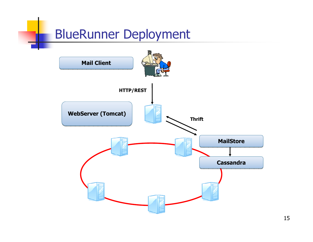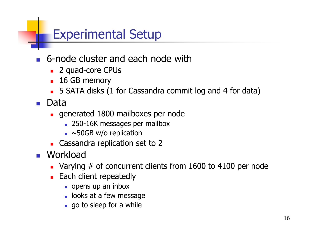# **Experimental Setup**

- 6-node cluster and each node with
	- 2 quad-core CPUs
	- **16 GB memory**
	- 5 SATA disks (1 for Cassandra commit log and 4 for data)
- Data
	- generated 1800 mailboxes per node
		- 250-16K messages per mailbox
		- $\sim$  50GB w/o replication
	- Cassandra replication set to 2
- **Morkload** 
	- Varying  $#$  of concurrent clients from 1600 to 4100 per node
	- Each client repeatedly
		- $\Box$  opens up an inbox
		- · looks at a few message
		- go to sleep for a while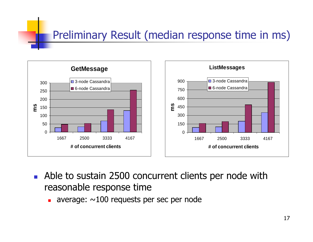## Preliminary Result (median response time in ms)



- $\mathcal{L}^{\text{max}}$ ■ Able to sustain 2500 concurrent clients per node with reasonable response time
	- **average:**  $\sim$ 100 requests per sec per node